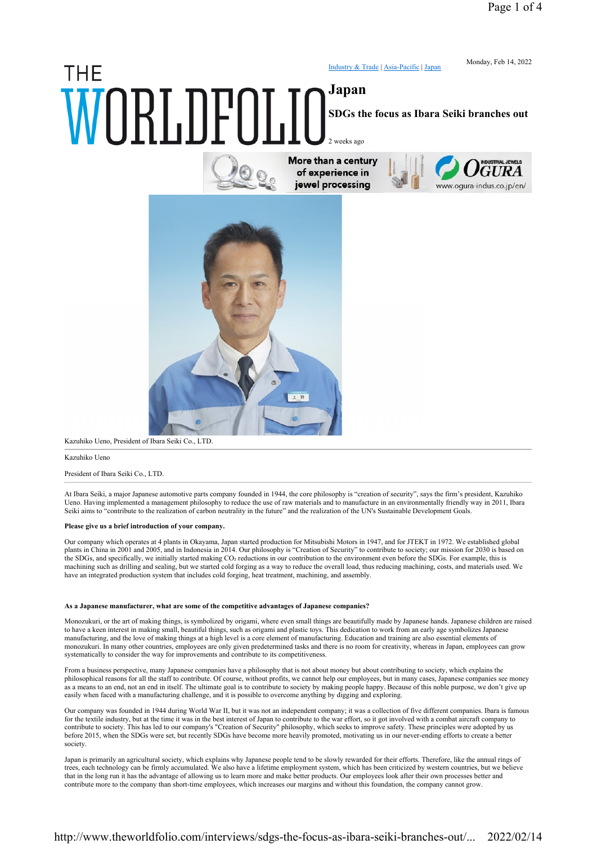# **THE** Japan WORLDFOLIC More than a century

Industry & Trade | Asia-Pacific | Japan

Monday, Feb 14, 2022

SDGs the focus as Ibara Seiki branches out

2 weeks ago



of experience in jewel processing





Kazuhiko Ueno, President of Ibara Seiki Co., LTD.

Kazuhiko Ueno

President of Ibara Seiki Co., LTD.

At Ibara Seiki, a major Japanese automotive parts company founded in 1944, the core philosophy is "creation of security", says the firm's president, Kazuhiko Ueno. Having implemented a management philosophy to reduce the use of raw materials and to manufacture in an environmentally friendly way in 2011, Ibara Seiki aims to "contribute to the realization of carbon neutrality in the future" and the realization of the UN's Sustainable Development Goals.

## Please give us a brief introduction of your company.

Our company which operates at 4 plants in Okayama, Japan started production for Mitsubishi Motors in 1947, and for JTEKT in 1972. We established global plants in China in 2001 and 2005, and in Indonesia in 2014. Our philosophy is "Creation of Security" to contribute to society; our mission for 2030 is based on the SDGs, and specifically, we initially started making CO2 reductions in our contribution to the environment even before the SDGs. For example, this is machining such as drilling and sealing, but we started cold forging as a way to reduce the overall load, thus reducing machining, costs, and materials used. We have an integrated production system that includes cold forging, heat treatment, machining, and assembly.

### As a Japanese manufacturer, what are some of the competitive advantages of Japanese companies?

Monozukuri, or the art of making things, is symbolized by origami, where even small things are beautifully made by Japanese hands. Japanese children are raised to have a keen interest in making small, beautiful things, such as origami and plastic toys. This dedication to work from an early age symbolizes Japanese manufacturing, and the love of making things at a high level is a core element of manufacturing. Education and training are also essential elements of monozukuri. In many other countries, employees are only given predetermined tasks and there is no room for creativity, whereas in Japan, employees can grow systematically to consider the way for improvements and contribute to its competitiveness.

From a business perspective, many Japanese companies have a philosophy that is not about money but about contributing to society, which explains the philosophical reasons for all the staff to contribute. Of course, without profits, we cannot help our employees, but in many cases, Japanese companies see money as a means to an end, not an end in itself. The ultimate goal is to contribute to society by making people happy. Because of this noble purpose, we don't give up easily when faced with a manufacturing challenge, and it is possible to overcome anything by digging and exploring.

Our company was founded in 1944 during World War II, but it was not an independent company; it was a collection of five different companies. Ibara is famous for the textile industry, but at the time it was in the best interest of Japan to contribute to the war effort, so it got involved with a combat aircraft company to contribute to society. This has led to our company's "Creation of Security" philosophy, which seeks to improve safety. These principles were adopted by us before 2015, when the SDGs were set, but recently SDGs have become more heavily promoted, motivating us in our never-ending efforts to create a better society.

Japan is primarily an agricultural society, which explains why Japanese people tend to be slowly rewarded for their efforts. Therefore, like the annual rings of trees, each technology can be firmly accumulated. We also have a lifetime employment system, which has been criticized by western countries, but we believe that in the long run it has the advantage of allowing us to learn more and make better products. Our employees look after their own processes better and contribute more to the company than short-time employees, which increases our margins and without this foundation, the company cannot grow.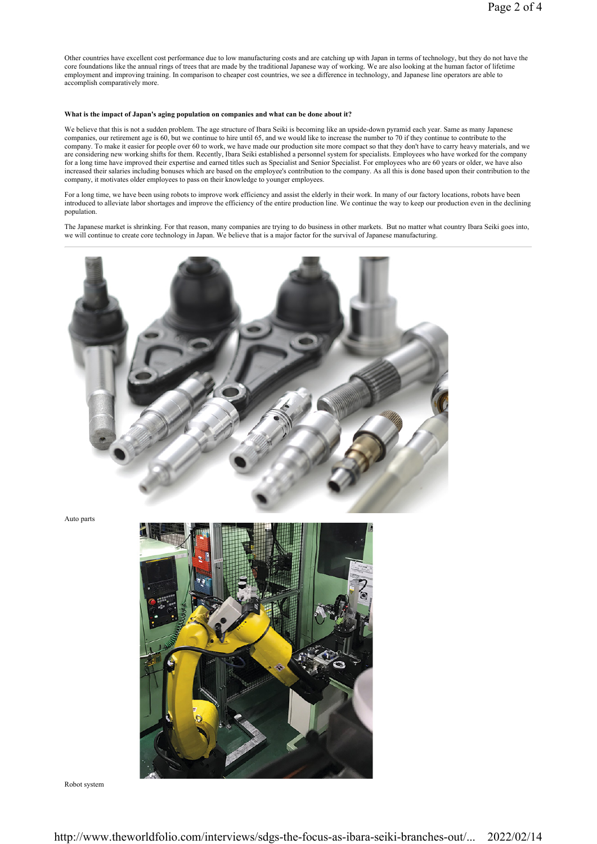Other countries have excellent cost performance due to low manufacturing costs and are catching up with Japan in terms of technology, but they do not have the core foundations like the annual rings of trees that are made by the traditional Japanese way of working. We are also looking at the human factor of lifetime employment and improving training. In comparison to cheaper cost countries, we see a difference in technology, and Japanese line operators are able to accomplish comparatively more.

## What is the impact of Japan's aging population on companies and what can be done about it?

We believe that this is not a sudden problem. The age structure of Ibara Seiki is becoming like an upside-down pyramid each year. Same as many Japanese companies, our retirement age is 60, but we continue to hire until 65, and we would like to increase the number to 70 if they continue to contribute to the company. To make it easier for people over 60 to work, we have made our production site more compact so that they don't have to carry heavy materials, and we are considering new working shifts for them. Recently, Ibara Seiki established a personnel system for specialists. Employees who have worked for the company for a long time have improved their expertise and earned titles such as Specialist and Senior Specialist. For employees who are 60 years or older, we have also increased their salaries including bonuses which are based on the employee's contribution to the company. As all this is done based upon their contribution to the company, it motivates older employees to pass on their knowledge to younger employees.

For a long time, we have been using robots to improve work efficiency and assist the elderly in their work. In many of our factory locations, robots have been introduced to alleviate labor shortages and improve the efficiency of the entire production line. We continue the way to keep our production even in the declining population.

The Japanese market is shrinking. For that reason, many companies are trying to do business in other markets. But no matter what country Ibara Seiki goes into, we will continue to create core technology in Japan. We believe that is a major factor for the survival of Japanese manufacturing.



Auto parts



Robot system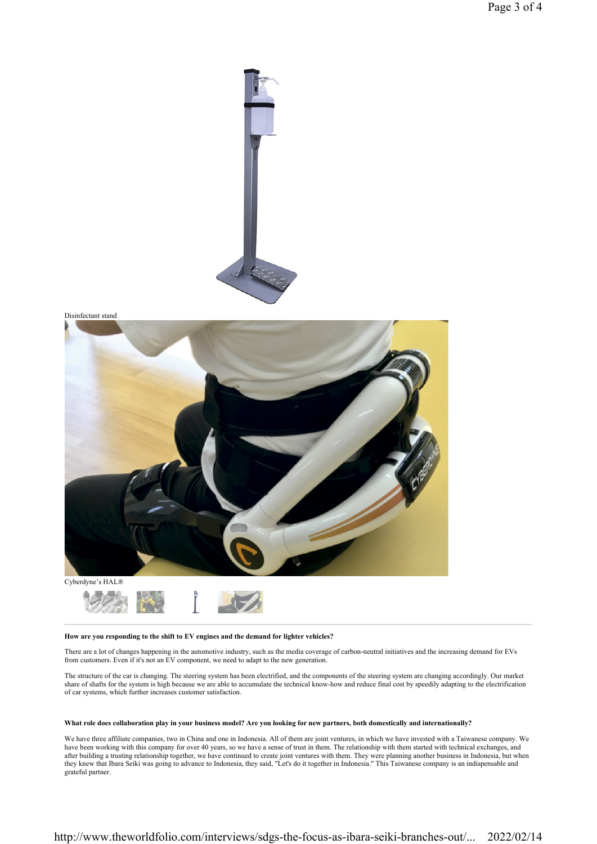



#### How are you responding to the shift to EV engines and the demand for lighter vehicles?

There are a lot of changes happening in the automotive industry, such as the media coverage of carbon-neutral initiatives and the increasing demand for EVs from customers. Even if it's not an EV component, we need to adapt to the new generation.

The structure of the car is changing. The steering system has been electrified, and the components of the steering system are changing accordingly. Our market share of shafts for the system is high because we are able to accumulate the technical know-how and reduce final cost by speedily adapting to the electrification of car systems, which further increases customer satisfaction.

## What role does collaboration play in your business model? Are you looking for new partners, both domestically and internationally?

We have three affiliate companies, two in China and one in Indonesia. All of them are joint ventures, in which we have invested with a Taiwanese company. We have been working with this company for over 40 years, so we have a sense of trust in them. The relationship with them started with technical exchanges, and after building a trusting relationship together, we have continued to create joint ventures with them. They were planning another business in Indonesia, but when they knew that Ibara Seiki was going to advance to Indonesia, they said, "Let's do it together in Indonesia." This Taiwanese company is an indispensable and grateful partner.